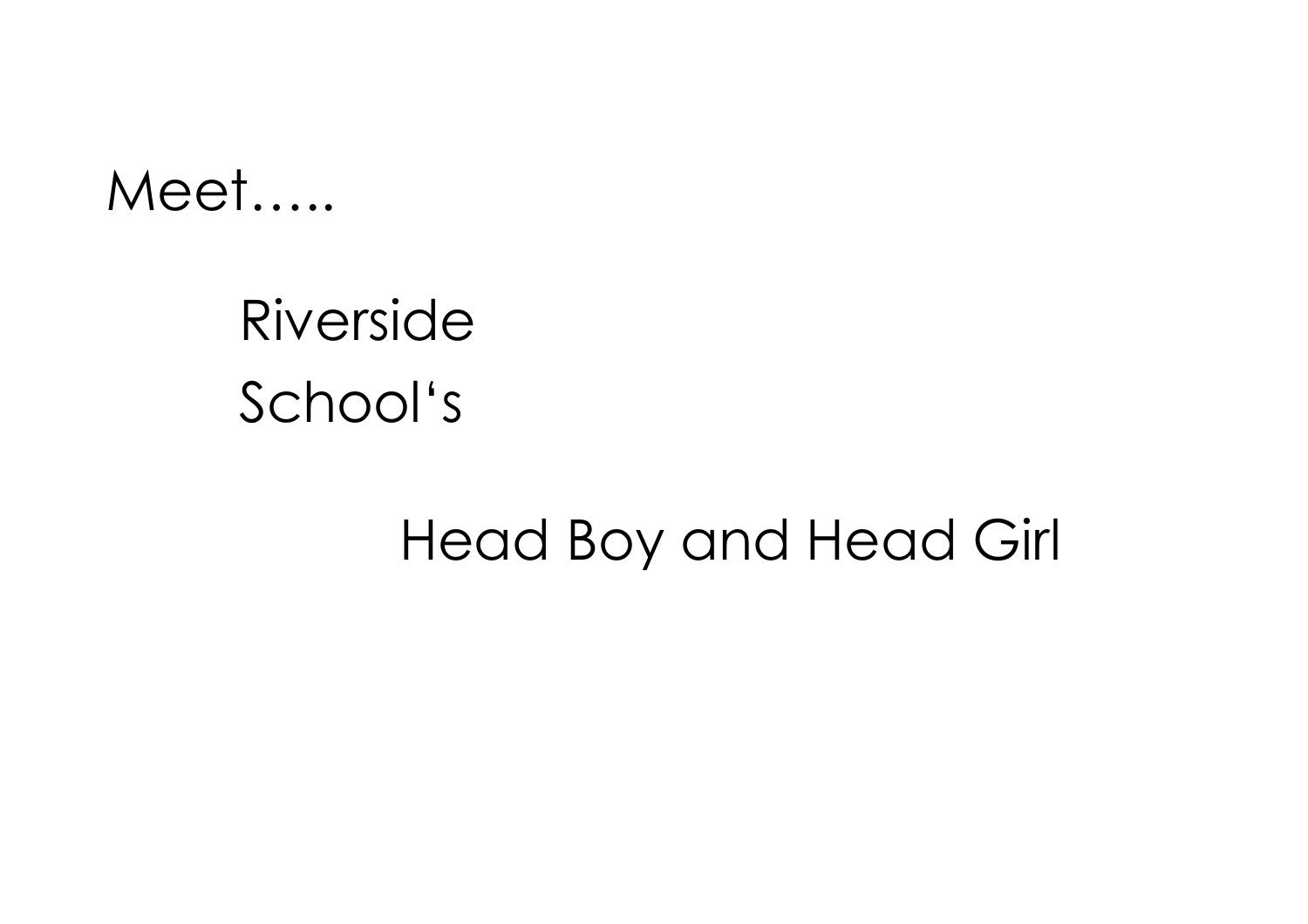### Meet.....

# Riverside School's

## Head Boy and Head Girl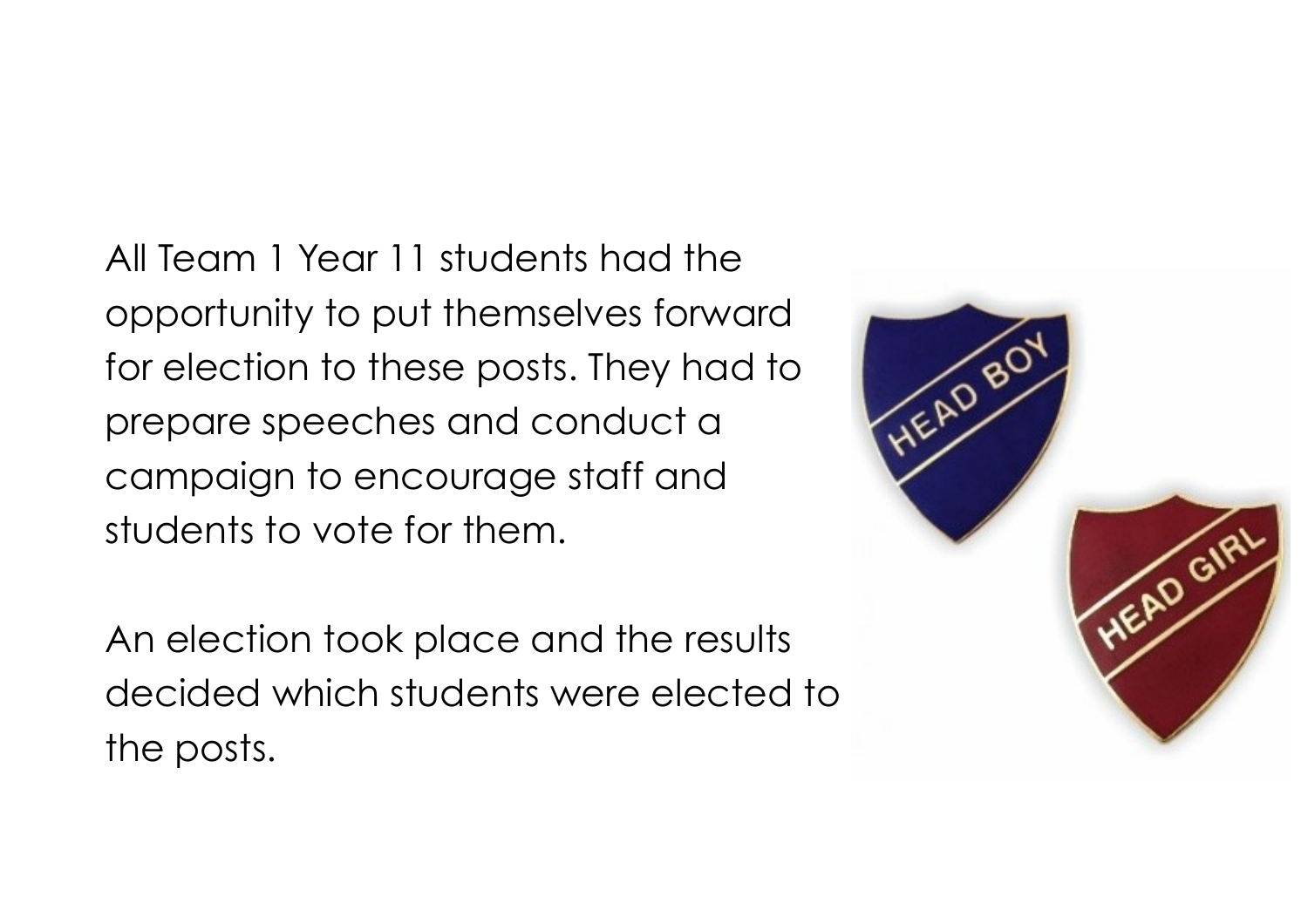All Team 1 Year 11 students had the opportunity to put themselves forward for election to these posts. They had to prepare speeches and conduct a campaign to encourage staff and students to vote for them.

An election took place and the results decided which students were elected to the posts.

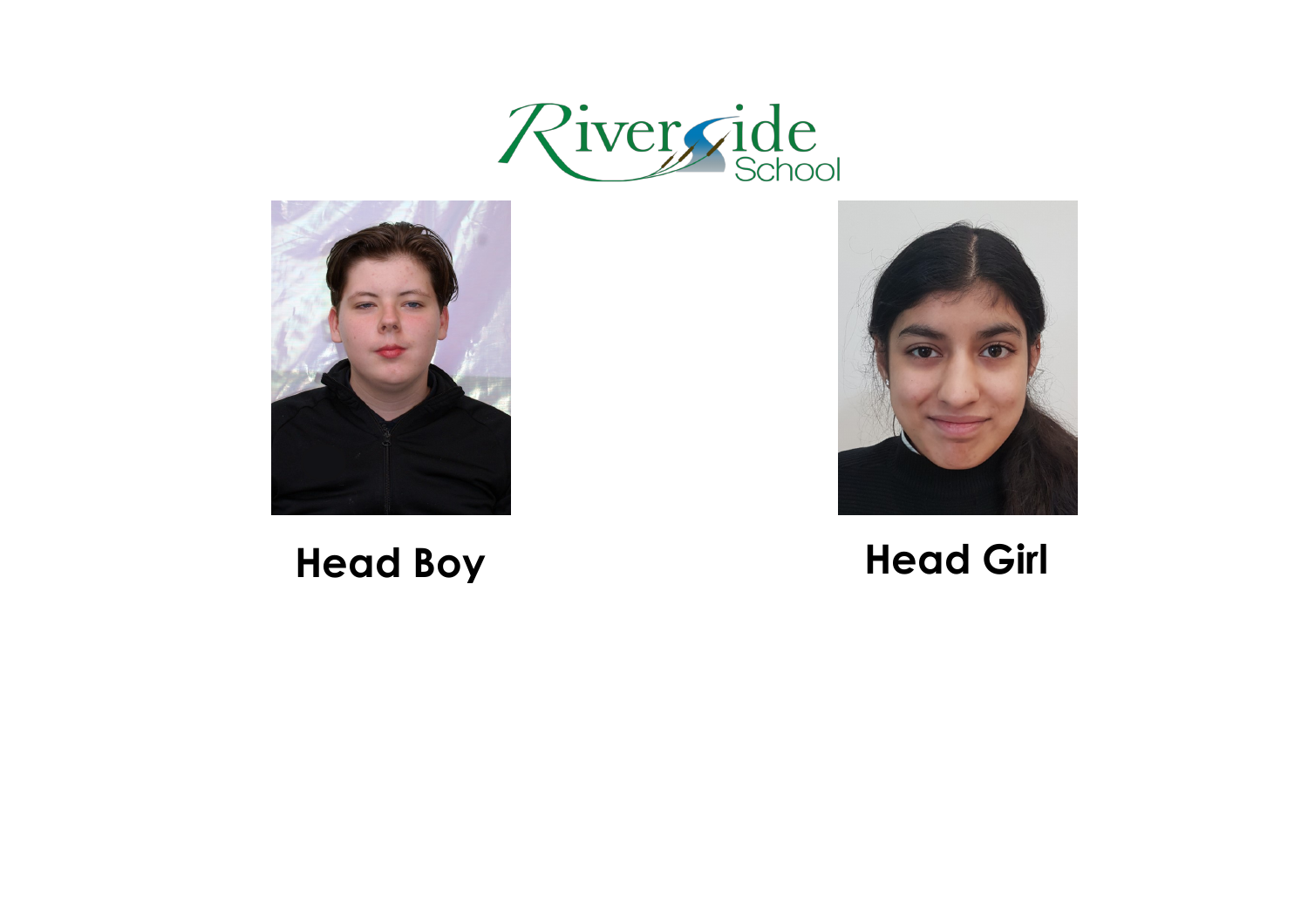





#### **Head Boy Head Girl**